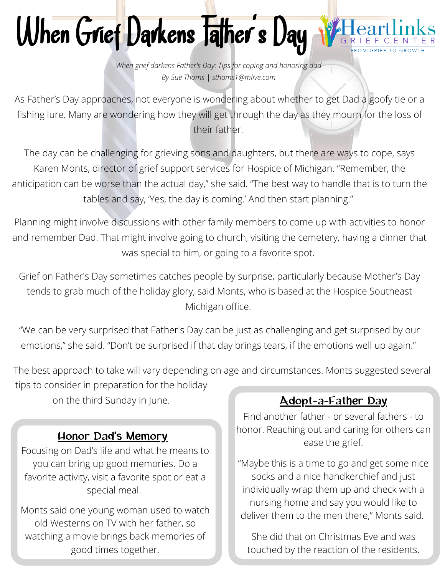#### When Grief Darkens Talher 's Day

*When grief darkens Father's Day: Tips for coping and honoring dad By Sue Thoms | sthoms1@mlive.com*

As Father's Day approaches, not everyone is wondering about whether to get Dad a goofy tie or a fishing lure. Many are wondering how they will get through the day as they mourn for the loss of their father.

The day can be challenging for grieving sons and daughters, but there are ways to cope, says Karen Monts, director of grief support services for Hospice of Michigan. "Remember, the anticipation can be worse than the actual day," she said. "The best way to handle that is to turn the tables and say, 'Yes, the day is coming.' And then start planning."

Planning might involve discussions with other family members to come up with activities to honor and remember Dad. That might involve going to church, visiting the cemetery, having a dinner that was special to him, or going to a favorite spot.

Grief on Father's Day sometimes catches people by surprise, particularly because Mother's Day tends to grab much of the holiday glory, said Monts, who is based at the Hospice Southeast Michigan office.

"We can be very surprised that Father's Day can be just as challenging and get surprised by our emotions," she said. "Don't be surprised if that day brings tears, if the emotions well up again."

The best approach to take will vary depending on age and circumstances. Monts suggested several

tips to consider in preparation for the holiday on the third Sunday in June.

### Honor Dad's Memory

Focusing on Dad's life and what he means to you can bring up good memories. Do a favorite activity, visit a favorite spot or eat a special meal.

Monts said one young woman used to watch old Westerns on TV with her father, so watching a movie brings back memories of good times together.

# Adopt-a-Father Day

Find another father - or several fathers - to honor. Reaching out and caring for others can ease the grief.

"Maybe this is a time to go and get some nice socks and a nice handkerchief and just individually wrap them up and check with a nursing home and say you would like to deliver them to the men there," Monts said.

She did that on Christmas Eve and was touched by the reaction of the residents.